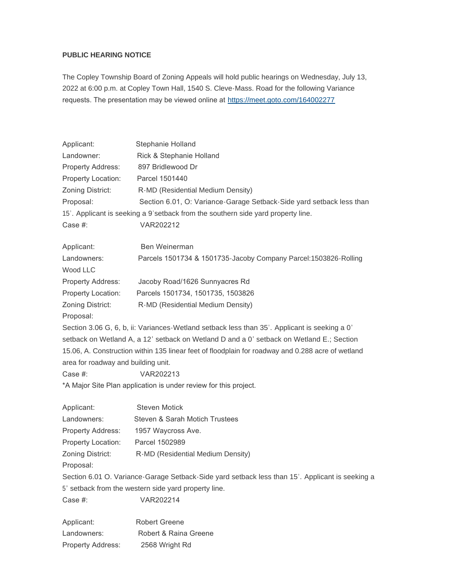## **PUBLIC HEARING NOTICE**

The Copley Township Board of Zoning Appeals will hold public hearings on Wednesday, July 13, 2022 at 6:00 p.m. at Copley Town Hall, 1540 S. Cleve-Mass. Road for the following Variance requests. The presentation may be viewed online at [https://meet.goto.com/164002277](https://meet.goto.com/164002277?_ga=2.77407069.950914416.1655311961-1960992959.1637327156)

| Applicant:                          | Stephanie Holland                                                                                 |
|-------------------------------------|---------------------------------------------------------------------------------------------------|
| Landowner:                          | Rick & Stephanie Holland                                                                          |
| Property Address:                   | 897 Bridlewood Dr                                                                                 |
| Property Location:                  | Parcel 1501440                                                                                    |
| Zoning District:                    | R-MD (Residential Medium Density)                                                                 |
| Proposal:                           | Section 6.01, O: Variance-Garage Setback-Side yard setback less than                              |
|                                     | 15'. Applicant is seeking a 9'setback from the southern side yard property line.                  |
| Case #:                             | VAR202212                                                                                         |
| Applicant:                          | Ben Weinerman                                                                                     |
| Landowners:<br>Wood LLC             | Parcels 1501734 & 1501735-Jacoby Company Parcel: 1503826-Rolling                                  |
| Property Address:                   | Jacoby Road/1626 Sunnyacres Rd                                                                    |
| Property Location:                  | Parcels 1501734, 1501735, 1503826                                                                 |
| Zoning District:                    | R-MD (Residential Medium Density)                                                                 |
| Proposal:                           |                                                                                                   |
|                                     | Section 3.06 G, 6, b, ii: Variances-Wetland setback less than 35'. Applicant is seeking a 0'      |
|                                     | setback on Wetland A, a 12' setback on Wetland D and a 0' setback on Wetland E.; Section          |
|                                     | 15.06, A. Construction within 135 linear feet of floodplain for roadway and 0.288 acre of wetland |
| area for roadway and building unit. |                                                                                                   |
| Case #:                             | VAR202213                                                                                         |
|                                     | *A Major Site Plan application is under review for this project.                                  |
| Applicant:                          | <b>Steven Motick</b>                                                                              |
| Landowners:                         | Steven & Sarah Motich Trustees                                                                    |
| Property Address:                   | 1957 Waycross Ave.                                                                                |
| Property Location:                  | Parcel 1502989                                                                                    |
| Zoning District:                    | R-MD (Residential Medium Density)                                                                 |
| Proposal:                           |                                                                                                   |
|                                     | Section 6.01 O. Variance-Garage Setback-Side yard setback less than 15'. Applicant is seeking a   |
|                                     |                                                                                                   |

5' setback from the western side yard property line.

Case #: VAR202214

Applicant: Robert Greene Landowners: Robert & Raina Greene Property Address: 2568 Wright Rd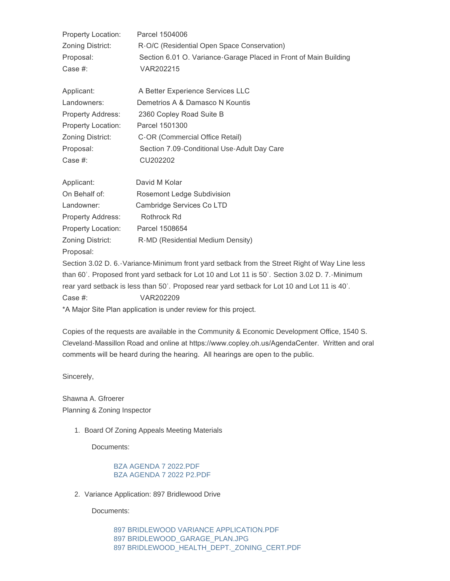| Property Location:       | Parcel 1504006                                                                       |
|--------------------------|--------------------------------------------------------------------------------------|
| Zoning District:         | R-O/C (Residential Open Space Conservation)                                          |
| Proposal:                | Section 6.01 O. Variance-Garage Placed in Front of Main Building                     |
| Case #:                  | VAR202215                                                                            |
| Applicant:               | A Better Experience Services LLC                                                     |
| Landowners:              | Demetrios A & Damasco N Kountis                                                      |
| <b>Property Address:</b> | 2360 Copley Road Suite B                                                             |
| Property Location:       | Parcel 1501300                                                                       |
| Zoning District:         | C-OR (Commercial Office Retail)                                                      |
| Proposal:                | Section 7.09-Conditional Use-Adult Day Care                                          |
| Case #:                  | CU202202                                                                             |
| Applicant:               | David M Kolar                                                                        |
| On Behalf of:            | Rosemont Ledge Subdivision                                                           |
| Landowner:               | Cambridge Services Co LTD                                                            |
| Property Address:        | Rothrock Rd                                                                          |
| Property Location:       | Parcel 1508654                                                                       |
| Zoning District:         | R-MD (Residential Medium Density)                                                    |
| Proposal:                |                                                                                      |
|                          | Cootian 2020 C Varianoo Minimum front vard oothook from the Ctreat Dight of Way Line |

Section 3.02 D. 6.-Variance-Minimum front yard setback from the Street Right of Way Line less than 60'. Proposed front yard setback for Lot 10 and Lot 11 is 50'. Section 3.02 D. 7.-Minimum rear yard setback is less than 50'. Proposed rear yard setback for Lot 10 and Lot 11 is 40'. Case #: VAR202209

\*A Major Site Plan application is under review for this project.

Copies of the requests are available in the Community & Economic Development Office, 1540 S. Cleveland-Massillon Road and online at https://www.copley.oh.us/AgendaCenter. Written and oral comments will be heard during the hearing. All hearings are open to the public.

Sincerely,

Shawna A. Gfroerer Planning & Zoning Inspector

1. Board Of Zoning Appeals Meeting Materials

Documents:

## [BZA AGENDA 7 2022.PDF](https://www.copley.oh.us/AgendaCenter/ViewFile/Item/754?fileID=9130) [BZA AGENDA 7 2022 P2.PDF](https://www.copley.oh.us/AgendaCenter/ViewFile/Item/754?fileID=9131)

2. Variance Application: 897 Bridlewood Drive

Documents:

[897 BRIDLEWOOD VARIANCE APPLICATION.PDF](https://www.copley.oh.us/AgendaCenter/ViewFile/Item/756?fileID=9113) [897 BRIDLEWOOD\\_GARAGE\\_PLAN.JPG](https://www.copley.oh.us/AgendaCenter/ViewFile/Item/756?fileID=9114) [897 BRIDLEWOOD\\_HEALTH\\_DEPT.\\_ZONING\\_CERT.PDF](https://www.copley.oh.us/AgendaCenter/ViewFile/Item/756?fileID=9115)